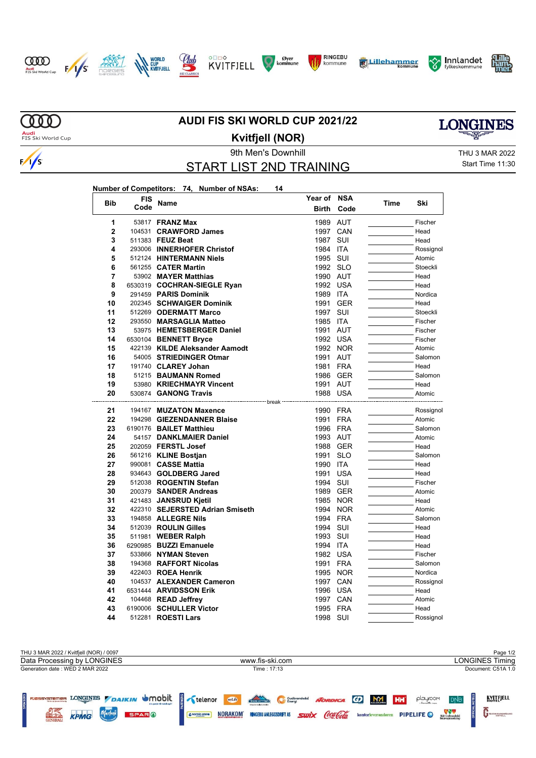



 $\sim$ 













m **Audi**<br>FIS Ski World Cup

 $\frac{1}{s}$ 

## **AUDI FIS SKI WORLD CUP 2021/22**



**Kvitfjell (NOR)**

9th Men's Downhill Games and Controller and Thu 3 MAR 2022 START LIST 2ND TRAINING

Start Time 11:30

## **Number of Competitors: 74, Number of NSAs: 14**

|                | <b>FIS</b> |                                 | Year of NSA  |            |      | Ski       |
|----------------|------------|---------------------------------|--------------|------------|------|-----------|
| <b>Bib</b>     | Code       | Name                            | <b>Birth</b> | Code       | Time |           |
| 1              |            | 53817 <b>FRANZ Max</b>          | 1989 AUT     |            |      | Fischer   |
| $\overline{2}$ |            | 104531 CRAWFORD James           | 1997         | CAN        |      | Head      |
| 3              |            | 511383 FEUZ Beat                | 1987         | SUI        |      | Head      |
| 4              |            | 293006 INNERHOFER Christof      | 1984         | <b>ITA</b> |      | Rossignol |
| 5              |            | 512124 HINTERMANN Niels         | 1995 SUI     |            |      | Atomic    |
| 6              |            | 561255 CATER Martin             | 1992 SLO     |            |      | Stoeckli  |
| 7              |            | 53902 MAYER Matthias            | 1990 AUT     |            |      | Head      |
| 8              |            | 6530319 COCHRAN-SIEGLE Ryan     | 1992 USA     |            |      | Head      |
| 9              |            | 291459 PARIS Dominik            | 1989 ITA     |            |      | Nordica   |
| 10             |            | 202345 SCHWAIGER Dominik        | 1991         | <b>GER</b> |      | Head      |
| 11             |            | 512269 ODERMATT Marco           | 1997         | SUI        |      | Stoeckli  |
| 12             |            | 293550 MARSAGLIA Matteo         | 1985 ITA     |            |      | Fischer   |
| 13             |            | 53975 HEMETSBERGER Daniel       | 1991         | <b>AUT</b> |      | Fischer   |
| 14             |            | 6530104 BENNETT Bryce           | 1992 USA     |            |      | Fischer   |
| 15             |            | 422139 KILDE Aleksander Aamodt  |              | 1992 NOR   |      | Atomic    |
| 16             |            | 54005 STRIEDINGER Otmar         | 1991         | <b>AUT</b> |      | Salomon   |
| 17             |            | 191740 CLAREY Johan             | 1981         | <b>FRA</b> |      | Head      |
| 18             |            | 51215 BAUMANN Romed             | 1986         | <b>GER</b> |      | Salomon   |
| 19             |            | 53980 KRIECHMAYR Vincent        | 1991         | <b>AUT</b> |      | Head      |
| 20             |            | 530874 GANONG Travis            | 1988         | <b>USA</b> |      | Atomic    |
|                |            |                                 | ┄ break      |            |      |           |
| 21             |            | 194167 MUZATON Maxence          | 1990 FRA     |            |      | Rossignol |
| 22             |            | 194298 GIEZENDANNER Blaise      | 1991         | <b>FRA</b> |      | Atomic    |
| 23             |            | 6190176 BAILET Matthieu         | 1996 FRA     |            |      | Salomon   |
| 24             |            | 54157 DANKLMAIER Daniel         | 1993 AUT     |            |      | Atomic    |
| 25             |            | 202059 FERSTL Josef             | 1988 GER     |            |      | Head      |
| 26             |            | 561216 KLINE Bostjan            | 1991         | <b>SLO</b> |      | Salomon   |
| 27             |            | 990081 CASSE Mattia             | 1990 ITA     |            |      | Head      |
| 28             |            | 934643 GOLDBERG Jared           | 1991         | <b>USA</b> |      | Head      |
| 29             |            | 512038 ROGENTIN Stefan          | 1994         | SUI        |      | Fischer   |
| 30             |            | 200379 SANDER Andreas           | 1989 GER     |            |      | Atomic    |
| 31             |            | 421483 JANSRUD Kjetil           | 1985         | <b>NOR</b> |      | Head      |
| 32             |            | 422310 SEJERSTED Adrian Smiseth | 1994         | <b>NOR</b> |      | Atomic    |
| 33             |            | 194858 ALLEGRE Nils             | 1994         | <b>FRA</b> |      | Salomon   |
| 34             |            | 512039 ROULIN Gilles            | 1994         | SUI        |      | Head      |
| 35             |            | 511981 WEBER Ralph              | 1993         | SUI        |      | Head      |
| 36             |            | 6290985 BUZZI Emanuele          | 1994 ITA     |            |      | Head      |
| 37             |            | 533866 NYMAN Steven             | 1982 USA     |            |      | Fischer   |
| 38             |            | 194368 RAFFORT Nicolas          | 1991         | <b>FRA</b> |      | Salomon   |
| 39             |            | 422403 ROEA Henrik              |              | 1995 NOR   |      | Nordica   |
| 40             |            | 104537 ALEXANDER Cameron        | 1997         | CAN        |      | Rossignol |
| 41             |            | 6531444 ARVIDSSON Erik          | 1996         | <b>USA</b> |      | Head      |
| 42             |            | 104468 READ Jeffrey             | 1997         | CAN        |      | Atomic    |
| 43             |            | 6190006 SCHULLER Victor         | 1995         | <b>FRA</b> |      | Head      |
| 44             |            | 512281 <b>ROESTI Lars</b>       | 1998         | SUI        |      | Rossignol |